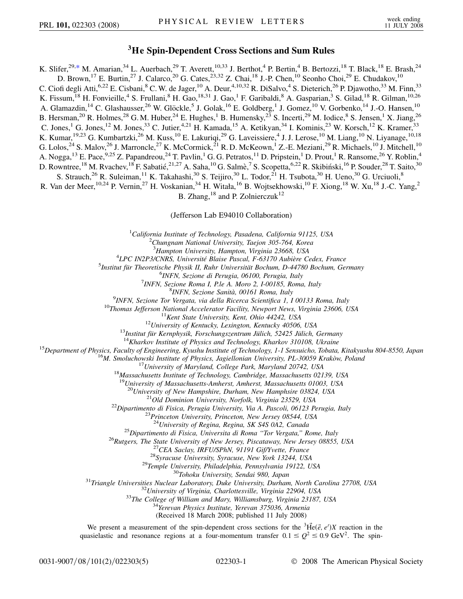## **3He Spin-Dependent Cross Sections and Sum Rules**

<span id="page-0-0"></span>K. Slifer,<sup>29[,\\*](#page-4-0)</sup> M. Amarian,<sup>34</sup> L. Auerbach,<sup>29</sup> T. Averett,<sup>10,33</sup> J. Berthot,<sup>4</sup> P. Bertin,<sup>4</sup> B. Bertozzi,<sup>18</sup> T. Black,<sup>18</sup> E. Brash,<sup>24</sup> D. Brown,<sup>17</sup> E. Burtin,<sup>27</sup> J. Calarco,<sup>20</sup> G. Cates,<sup>23,32</sup> Z. Chai,<sup>18</sup> J.-P. Chen,<sup>10</sup> Seonho Choi,<sup>29</sup> E. Chudakov,<sup>10</sup> C. Ciofi degli Atti,<sup>6,22</sup> E. Cisbani,<sup>8</sup> C. W. de Jager,<sup>10</sup> A. Deur,<sup>4,10,32</sup> R. DiSalvo,<sup>4</sup> S. Dieterich,<sup>26</sup> P. Djawotho,<sup>33</sup> M. Finn,<sup>33</sup> K. Fissum, <sup>18</sup> H. Fonvieille, <sup>4</sup> S. Frullani, <sup>8</sup> H. Gao, <sup>18,31</sup> J. Gao, <sup>1</sup> F. Garibaldi, <sup>8</sup> A. Gasparian, <sup>3</sup> S. Gilad, <sup>18</sup> R. Gilman, <sup>10,26</sup> A. Glamazdin,<sup>14</sup> C. Glashausser,<sup>26</sup> W. Glöckle,<sup>5</sup> J. Golak,<sup>16</sup> E. Goldberg,<sup>1</sup> J. Gomez,<sup>10</sup> V. Gorbenko,<sup>14</sup> J.-O. Hansen,<sup>10</sup> B. Hersman,<sup>20</sup> R. Holmes,<sup>28</sup> G. M. Huber,<sup>24</sup> E. Hughes,<sup>1</sup> B. Humensky,<sup>23</sup> S. Incerti,<sup>29</sup> M. Iodice,<sup>8</sup> S. Jensen,<sup>1</sup> X. Jiang,<sup>26</sup> C. Jones,<sup>1</sup> G. Jones,<sup>12</sup> M. Jones,<sup>33</sup> C. Jutier,<sup>4,21</sup> H. Kamada,<sup>15</sup> A. Ketikyan,<sup>34</sup> I. Kominis,<sup>23</sup> W. Korsch,<sup>12</sup> K. Kramer,<sup>33</sup> K. Kumar, <sup>19,23</sup> G. Kumbartzki, <sup>26</sup> M. Kuss, <sup>10</sup> E. Lakuriqi, <sup>29</sup> G. Laveissiere, <sup>4</sup> J. J. Lerose, <sup>10</sup> M. Liang, <sup>10</sup> N. Liyanage, <sup>10,18</sup> G. Lolos,<sup>24</sup> S. Malov,<sup>26</sup> J. Marroncle,<sup>27</sup> K. McCormick,<sup>21</sup> R. D. McKeown,<sup>1</sup> Z.-E. Meziani,<sup>29</sup> R. Michaels,<sup>10</sup> J. Mitchell,<sup>10</sup> A. Nogga,<sup>13</sup> E. Pace,<sup>9,25</sup> Z. Papandreou,<sup>24</sup> T. Pavlin,<sup>1</sup> G. G. Petratos,<sup>11</sup> D. Pripstein,<sup>1</sup> D. Prout,<sup>1</sup> R. Ransome,<sup>26</sup> Y. Roblin,<sup>4</sup> D. Rowntree, <sup>18</sup> M. Rvachev, <sup>18</sup> F. Sabatié, <sup>21,27</sup> A. Saha, <sup>10</sup> G. Salmè, <sup>7</sup> S. Scopetta, <sup>6,22</sup> R. Skibiński, <sup>16</sup> P. Souder, <sup>28</sup> T. Saito, <sup>30</sup> S. Strauch,<sup>26</sup> R. Suleiman,<sup>11</sup> K. Takahashi,<sup>30</sup> S. Teijiro,<sup>30</sup> L. Todor,<sup>21</sup> H. Tsubota,<sup>30</sup> H. Ueno,<sup>30</sup> G. Urciuoli,<sup>8</sup> R. Van der Meer, <sup>10,24</sup> P. Vernin, <sup>27</sup> H. Voskanian, <sup>34</sup> H. Witała, <sup>16</sup> B. Wojtsekhowski, <sup>10</sup> F. Xiong, <sup>18</sup> W. Xu, <sup>18</sup> J.-C. Yang, <sup>2</sup>

B. Zhang,  $^{18}$  and P. Zolnierczuk<sup>12</sup>

(Jefferson Lab E94010 Collaboration)

<sup>1</sup>California Institute of Technology, Pasadena, California 91125, USA<br><sup>2</sup>Chungnam National University, Tagion 305, 764, Korea

*Chungnam National University, Taejon 305-764, Korea*

<sup>3</sup> Hampton University, Hampton, Virginia 23668, USA<sup>4</sup><br><sup>4</sup>LPC IN2P3/CNPS, Université Blaise Pascal, E.63170 Aubière C

<sup>4</sup>LPC IN2P3/CNRS, Université Blaise Pascal, F-63170 Aubière Cedex, France

<sup>5</sup>Institut für Theoretische Physik II, Ruhr Universität Bochum, D-44780 Bochum, Germany

*INFN, Sezione di Perugia, 06100, Perugia, Italy* <sup>7</sup>

*INFN, Sezione Roma I, P.le A. Moro 2, I-00185, Roma, Italy* <sup>8</sup>

<sup>9</sup>INFN, Sezione Tor Vergata, via della Ricerca Scientifica 1, I 00133 Roma, Italy

<sup>9</sup>INFN, Sezione Tor Vergata, via della Ricerca Scientifica 1, 1 00133 Roma, Italy<br><sup>10</sup>Thomas Jefferson National Accelerator Facility, Newport News, Virginia 23606, USA<br><sup>11</sup>Kent State University, Kent, Ohio 44242, USA<br><sup>12</sup>

<sup>18</sup> Massachusetts Institute of Technology, Cambridge, Massachusetts 02139, USA<br><sup>19</sup>University of Massachusetts-Amherst, Amherst, Massachusetts 01003, USA<br><sup>20</sup>University of New Hampshire, Durham, New Hamphsire 03824, USA

<sup>21</sup>Old Dominion University, Norfolk, Virginia 23529, USA<br><sup>22</sup>Dipartimento di Fisica, Perugia University, Via A. Pascoli, 06123 Perugia, Italy<br><sup>23</sup>Princeton University, Princeton, New Jersey 08544, USA<br><sup>24</sup>University of R

<sup>24</sup>University of Regina, Regina, SK S4S 0A2, Canada<br><sup>25</sup>Dipartimento di Fisica, Universita di Roma "Tor Vergata," Rome, Italy<br><sup>26</sup>Rutgers, The State University of New Jersey, Piscataway, New Jersey 08855, USA<br><sup>27</sup>CEA Sac

(Received 18 March 2008; published 11 July 2008)

We present a measurement of the spin-dependent cross sections for the  ${}^{3}$ He $(\tilde{e}, e')X$  reaction in the quasielastic and resonance regions at a four-momentum transfer  $0.1 \le Q^2 \le 0.9$  GeV<sup>2</sup>. The spin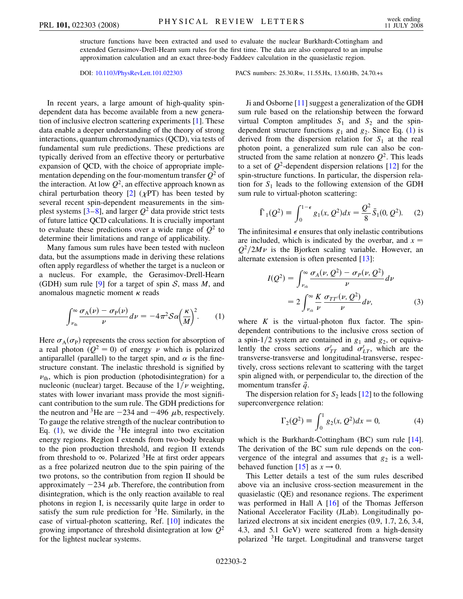structure functions have been extracted and used to evaluate the nuclear Burkhardt-Cottingham and extended Gerasimov-Drell-Hearn sum rules for the first time. The data are also compared to an impulse approximation calculation and an exact three-body Faddeev calculation in the quasielastic region.

DOI: [10.1103/PhysRevLett.101.022303](http://dx.doi.org/10.1103/PhysRevLett.101.022303) PACS numbers: 25.30.Rw, 11.55.Hx, 13.60.Hb, 24.70.+s

In recent years, a large amount of high-quality spindependent data has become available from a new generation of inclusive electron scattering experiments [\[1\]](#page-4-1). These data enable a deeper understanding of the theory of strong interactions, quantum chromodynamics (QCD), via tests of fundamental sum rule predictions. These predictions are typically derived from an effective theory or perturbative expansion of QCD, with the choice of appropriate implementation depending on the four-momentum transfer  $Q^2$  of the interaction. At low  $Q^2$ , an effective approach known as chiral perturbation theory  $[2]$  $[2]$  ( $\chi$ PT) has been tested by several recent spin-dependent measurements in the simplest systems  $[3-8]$  $[3-8]$  $[3-8]$ , and larger  $Q^2$  data provide strict tests of future lattice QCD calculations. It is crucially important to evaluate these predictions over a wide range of  $Q^2$  to determine their limitations and range of applicability.

Many famous sum rules have been tested with nucleon data, but the assumptions made in deriving these relations often apply regardless of whether the target is a nucleon or a nucleus. For example, the Gerasimov-Drell-Hearn (GDH) sum rule [[9](#page-4-5)] for a target of spin S, mass *M*, and anomalous magnetic moment  $\kappa$  reads

<span id="page-1-0"></span>
$$
\int_{\nu_{\text{th}}}^{\infty} \frac{\sigma_{\text{A}}(\nu) - \sigma_{\text{P}}(\nu)}{\nu} d\nu = -4\pi^2 \mathcal{S} \alpha \left(\frac{\kappa}{M}\right)^2. \tag{1}
$$

Here  $\sigma_A(\sigma_P)$  represents the cross section for absorption of a real photon  $(Q^2 = 0)$  of energy  $\nu$  which is polarized antiparallel (parallel) to the target spin, and  $\alpha$  is the finestructure constant. The inelastic threshold is signified by  $\nu_{\text{th}}$ , which is pion production (photodisintegration) for a nucleonic (nuclear) target. Because of the  $1/\nu$  weighting, states with lower invariant mass provide the most significant contribution to the sum rule. The GDH predictions for the neutron and <sup>3</sup>He are  $-234$  and  $-496 \mu b$ , respectively. To gauge the relative strength of the nuclear contribution to Eq. [\(1\)](#page-1-0), we divide the  ${}^{3}$ He integral into two excitation energy regions. Region I extends from two-body breakup to the pion production threshold, and region II extends from threshold to  $\infty$ . Polarized <sup>3</sup>He at first order appears as a free polarized neutron due to the spin pairing of the two protons, so the contribution from region II should be approximately  $-234 \mu b$ . Therefore, the contribution from disintegration, which is the only reaction available to real photons in region I, is necessarily quite large in order to satisfy the sum rule prediction for 3He. Similarly, in the case of virtual-photon scattering, Ref. [[10\]](#page-4-6) indicates the growing importance of threshold disintegration at low *Q*<sup>2</sup> for the lightest nuclear systems.

Ji and Osborne [\[11\]](#page-4-7) suggest a generalization of the GDH sum rule based on the relationship between the forward virtual Compton amplitudes  $S_1$  and  $S_2$  and the spindependent structure functions  $g_1$  $g_1$  and  $g_2$ . Since Eq. (1) is derived from the dispersion relation for  $S_1$  at the real photon point, a generalized sum rule can also be constructed from the same relation at nonzero  $Q^2$ . This leads to a set of  $Q^2$ -dependent dispersion relations [\[12\]](#page-4-8) for the spin-structure functions. In particular, the dispersion relation for  $S_1$  leads to the following extension of the GDH sum rule to virtual-photon scattering:

$$
\bar{\Gamma}_1(Q^2) \equiv \int_0^{1-\epsilon} g_1(x, Q^2) dx = \frac{Q^2}{8} \bar{S}_1(0, Q^2). \quad (2)
$$

<span id="page-1-1"></span>The infinitesimal  $\epsilon$  ensures that only inelastic contributions are included, which is indicated by the overbar, and  $x =$  $Q^2/2M\nu$  is the Bjorken scaling variable. However, an alternate extension is often presented [[13](#page-4-9)]:

$$
I(Q2) = \int_{\nu_{th}}^{\infty} \frac{\sigma_A(\nu, Q^2) - \sigma_P(\nu, Q^2)}{\nu} d\nu
$$
  
= 
$$
2 \int_{\nu_{th}}^{\infty} \frac{K}{\nu} \frac{\sigma_{TT}(\nu, Q^2)}{\nu} d\nu,
$$
 (3)

where  $K$  is the virtual-photon flux factor. The spindependent contributions to the inclusive cross section of a spin-1/2 system are contained in  $g_1$  and  $g_2$ , or equivalently the cross sections  $\sigma'_{TT}$  and  $\sigma'_{LT}$ , which are the transverse-transverse and longitudinal-transverse, respectively, cross sections relevant to scattering with the target spin aligned with, or perpendicular to, the direction of the momentum transfer  $\vec{q}$ .

The dispersion relation for  $S_2$  leads [[12](#page-4-8)] to the following superconvergence relation:

$$
\Gamma_2(Q^2) \equiv \int_0^1 g_2(x, Q^2) dx = 0,
$$
 (4)

which is the Burkhardt-Cottingham (BC) sum rule [[14\]](#page-4-10). The derivation of the BC sum rule depends on the convergence of the integral and assumes that  $g_2$  is a well-behaved function [\[15\]](#page-4-11) as  $x \to 0$ .

This Letter details a test of the sum rules described above via an inclusive cross-section measurement in the quasielastic (QE) and resonance regions. The experiment was performed in Hall A [[16](#page-4-12)] of the Thomas Jefferson National Accelerator Facility (JLab). Longitudinally polarized electrons at six incident energies (0.9, 1.7, 2.6, 3.4, 4.3, and 5.1 GeV) were scattered from a high-density polarized 3He target. Longitudinal and transverse target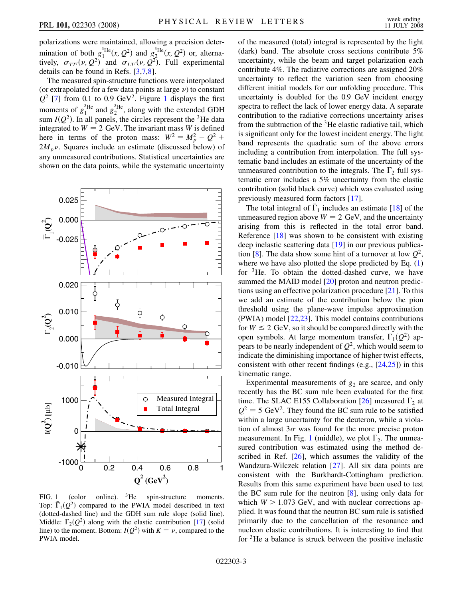polarizations were maintained, allowing a precision determination of both  $g_1^3$ <sup>He</sup> $(x, Q^2)$  and  $g_2^3$ <sup>He</sup> $(x, Q^2)$  or, alternatively,  $\sigma_{TT'}(\nu, Q^2)$  and  $\sigma_{LT'}(\nu, Q^2)$ . Full experimental details can be found in Refs. [[3](#page-4-3),[7,](#page-4-13)[8\]](#page-4-4).

The measured spin-structure functions were interpolated (or extrapolated for a few data points at large  $\nu$ ) to constant  $Q^2$  [[7\]](#page-4-13) from 0.[1](#page-2-0) to 0.9 GeV<sup>2</sup>. Figure 1 displays the first moments of  $g_1^{\text{3He}}$  and  $g_2^{\text{3He}}$ , along with the extended GDH sum  $I(Q^2)$ . In all panels, the circles represent the <sup>3</sup>He data integrated to  $W = 2$  GeV. The invariant mass *W* is defined here in terms of the proton mass:  $W^2 = M_p^2 - Q^2$  +  $2M_p\nu$ . Squares include an estimate (discussed below) of any unmeasured contributions. Statistical uncertainties are shown on the data points, while the systematic uncertainty

<span id="page-2-0"></span>

FIG. 1 (color online). <sup>3</sup>He spin-structure moments. Top:  $\overline{\Gamma}_1(Q^2)$  compared to the PWIA model described in text (dotted-dashed line) and the GDH sum rule slope (solid line). Middle:  $\Gamma_2(Q^2)$  along with the elastic contribution [\[17](#page-4-14)] (solid line) to the moment. Bottom:  $I(Q^2)$  with  $K = \nu$ , compared to the PWIA model.

of the measured (total) integral is represented by the light (dark) band. The absolute cross sections contribute 5% uncertainty, while the beam and target polarization each contribute 4%. The radiative corrections are assigned 20% uncertainty to reflect the variation seen from choosing different initial models for our unfolding procedure. This uncertainty is doubled for the 0.9 GeV incident energy spectra to reflect the lack of lower energy data. A separate contribution to the radiative corrections uncertainty arises from the subtraction of the  ${}^{3}$ He elastic radiative tail, which is significant only for the lowest incident energy. The light band represents the quadratic sum of the above errors including a contribution from interpolation. The full systematic band includes an estimate of the uncertainty of the unmeasured contribution to the integrals. The  $\Gamma_2$  full systematic error includes a 5% uncertainty from the elastic contribution (solid black curve) which was evaluated using previously measured form factors [[17](#page-4-14)].

The total integral of  $\overline{\Gamma}_1$  includes an estimate [[18](#page-4-15)] of the unmeasured region above  $W = 2$  GeV, and the uncertainty arising from this is reflected in the total error band. Reference [[18](#page-4-15)] was shown to be consistent with existing deep inelastic scattering data [[19](#page-4-16)] in our previous publica-tion [[8\]](#page-4-4). The data show some hint of a turnover at low  $Q^2$ , where we have also plotted the slope predicted by Eq. [\(1\)](#page-1-0) for  ${}^{3}$ He. To obtain the dotted-dashed curve, we have summed the MAID model [\[20\]](#page-4-17) proton and neutron predictions using an effective polarization procedure [\[21\]](#page-4-18). To this we add an estimate of the contribution below the pion threshold using the plane-wave impulse approximation (PWIA) model [\[22](#page-4-19)[,23\]](#page-4-20). This model contains contributions for  $W \le 2$  GeV, so it should be compared directly with the open symbols. At large momentum transfer,  $\Gamma_1(Q^2)$  appears to be nearly independent of  $Q^2$ , which would seem to indicate the diminishing importance of higher twist effects, consistent with other recent findings (e.g.,  $[24,25]$  $[24,25]$  $[24,25]$ ) in this kinematic range.

Experimental measurements of  $g_2$  are scarce, and only recently has the BC sum rule been evaluated for the first time. The SLAC E155 Collaboration [\[26\]](#page-4-23) measured  $\Gamma_2$  at  $Q^2 = 5$  GeV<sup>2</sup>. They found the BC sum rule to be satisfied within a large uncertainty for the deuteron, while a violation of almost  $3\sigma$  was found for the more precise proton measurement. In Fig. [1](#page-2-0) (middle), we plot  $\Gamma_2$ . The unmeasured contribution was estimated using the method described in Ref. [[26](#page-4-23)], which assumes the validity of the Wandzura-Wilczek relation [[27](#page-4-24)]. All six data points are consistent with the Burkhardt-Cottingham prediction. Results from this same experiment have been used to test the BC sum rule for the neutron [[8\]](#page-4-4), using only data for which  $W > 1.073$  GeV, and with nuclear corrections applied. It was found that the neutron BC sum rule is satisfied primarily due to the cancellation of the resonance and nucleon elastic contributions. It is interesting to find that for 3He a balance is struck between the positive inelastic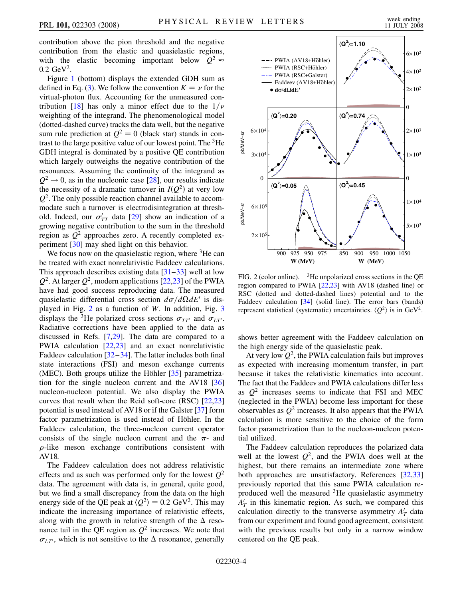contribution above the pion threshold and the negative contribution from the elastic and quasielastic regions, with the elastic becoming important below  $Q^2 \approx$ 0*:*2 GeV2.

Figure [1](#page-2-0) (bottom) displays the extended GDH sum as defined in Eq. ([3](#page-1-1)). We follow the convention  $K = \nu$  for the virtual-photon flux. Accounting for the unmeasured con-tribution [[18](#page-4-15)] has only a minor effect due to the  $1/\nu$ weighting of the integrand. The phenomenological model (dotted-dashed curve) tracks the data well, but the negative sum rule prediction at  $Q^2 = 0$  (black star) stands in contrast to the large positive value of our lowest point. The  ${}^{3}$ He GDH integral is dominated by a positive QE contribution which largely outweighs the negative contribution of the resonances. Assuming the continuity of the integrand as  $Q^2 \rightarrow 0$ , as in the nucleonic case [\[28\]](#page-4-25), our results indicate the necessity of a dramatic turnover in  $I(Q^2)$  at very low  $Q<sup>2</sup>$ . The only possible reaction channel available to accommodate such a turnover is electrodisintegration at threshold. Indeed, our  $\sigma'_{TT}$  data [[29](#page-4-26)] show an indication of a growing negative contribution to the sum in the threshold region as *Q*<sup>2</sup> approaches zero. A recently completed experiment [[30](#page-4-27)] may shed light on this behavior.

We focus now on the quasielastic region, where  ${}^{3}$ He can be treated with exact nonrelativistic Faddeev calculations. This approach describes existing data [[31](#page-4-28)[–33\]](#page-4-29) well at low  $Q^2$ . At larger  $Q^2$ , modern applications [\[22](#page-4-19)[,23\]](#page-4-20) of the PWIA have had good success reproducing data. The measured quasielastic differential cross section  $d\sigma/d\Omega dE'$  is displayed in Fig. [2](#page-3-0) as a function of *W*. In addition, Fig. [3](#page-4-30) displays the <sup>3</sup>He polarized cross sections  $\sigma_{TT'}$  and  $\sigma_{LT'}$ . Radiative corrections have been applied to the data as discussed in Refs. [[7](#page-4-13),[29](#page-4-26)]. The data are compared to a PWIA calculation [[22](#page-4-19),[23](#page-4-20)] and an exact nonrelativistic Faddeev calculation [\[32](#page-4-31)[–34](#page-4-32)]. The latter includes both final state interactions (FSI) and meson exchange currents (MEC). Both groups utilize the Höhler  $[35]$  parametrization for the single nucleon current and the AV18 [\[36\]](#page-4-34) nucleon-nucleon potential. We also display the PWIA curves that result when the Reid soft-core (RSC) [\[22](#page-4-19)[,23\]](#page-4-20) potential is used instead of AV18 or if the Galster [[37](#page-4-35)] form factor parametrization is used instead of Höhler. In the Faddeev calculation, the three-nucleon current operator consists of the single nucleon current and the  $\pi$ - and  $\rho$ -like meson exchange contributions consistent with AV18.

The Faddeev calculation does not address relativistic effects and as such was performed only for the lowest  $Q^2$ data. The agreement with data is, in general, quite good, but we find a small discrepancy from the data on the high energy side of the QE peak at  $\langle Q^2 \rangle = 0.2 \text{ GeV}^2$ . This may indicate the increasing importance of relativistic effects, along with the growth in relative strength of the  $\Delta$  resonance tail in the QE region as  $Q^2$  increases. We note that  $\sigma_{LT'}$ , which is not sensitive to the  $\Delta$  resonance, generally

<span id="page-3-0"></span>

FIG. 2 (color online).  $3H$ e unpolarized cross sections in the QE region compared to PWIA [[22](#page-4-19),[23](#page-4-20)] with AV18 (dashed line) or RSC (dotted and dotted-dashed lines) potential and to the Faddeev calculation [[34](#page-4-32)] (solid line). The error bars (bands) represent statistical (systematic) uncertainties.  $\langle Q^2 \rangle$  is in GeV<sup>2</sup>.

shows better agreement with the Faddeev calculation on the high energy side of the quasielastic peak.

At very low  $Q^2$ , the PWIA calculation fails but improves as expected with increasing momentum transfer, in part because it takes the relativistic kinematics into account. The fact that the Faddeev and PWIA calculations differ less as  $Q^2$  increases seems to indicate that FSI and MEC (neglected in the PWIA) become less important for these observables as  $Q^2$  increases. It also appears that the PWIA calculation is more sensitive to the choice of the form factor parametrization than to the nucleon-nucleon potential utilized.

The Faddeev calculation reproduces the polarized data well at the lowest  $Q^2$ , and the PWIA does well at the highest, but there remains an intermediate zone where both approaches are unsatisfactory. References [\[32,](#page-4-31)[33\]](#page-4-29) previously reported that this same PWIA calculation reproduced well the measured  $3$ He quasielastic asymmetry  $A'_T$  in this kinematic region. As such, we compared this calculation directly to the transverse asymmetry  $A'_T$  data from our experiment and found good agreement, consistent with the previous results but only in a narrow window centered on the QE peak.